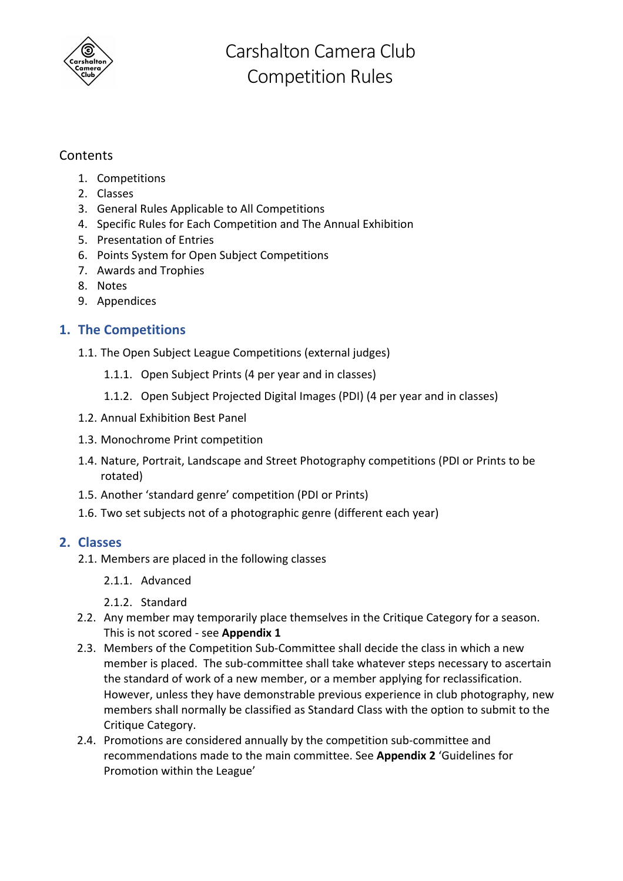

# Contents

- 1. Competitions
- 2. Classes
- 3. General Rules Applicable to All Competitions
- 4. Specific Rules for Each Competition and The Annual Exhibition
- 5. Presentation of Entries
- 6. Points System for Open Subject Competitions
- 7. Awards and Trophies
- 8. Notes
- 9. Appendices

## **1. The Competitions**

- 1.1. The Open Subject League Competitions (external judges)
	- 1.1.1. Open Subject Prints (4 per year and in classes)
	- 1.1.2. Open Subject Projected Digital Images (PDI) (4 per year and in classes)
- 1.2. Annual Exhibition Best Panel
- 1.3. Monochrome Print competition
- 1.4. Nature, Portrait, Landscape and Street Photography competitions (PDI or Prints to be rotated)
- 1.5. Another 'standard genre' competition (PDI or Prints)
- 1.6. Two set subjects not of a photographic genre (different each year)

## **2. Classes**

- 2.1. Members are placed in the following classes
	- 2.1.1. Advanced
	- 2.1.2. Standard
- 2.2. Any member may temporarily place themselves in the Critique Category for a season. This is not scored - see **Appendix 1**
- 2.3. Members of the Competition Sub-Committee shall decide the class in which a new member is placed. The sub-committee shall take whatever steps necessary to ascertain the standard of work of a new member, or a member applying for reclassification. However, unless they have demonstrable previous experience in club photography, new members shall normally be classified as Standard Class with the option to submit to the Critique Category.
- 2.4. Promotions are considered annually by the competition sub-committee and recommendations made to the main committee. See **Appendix 2** 'Guidelines for Promotion within the League'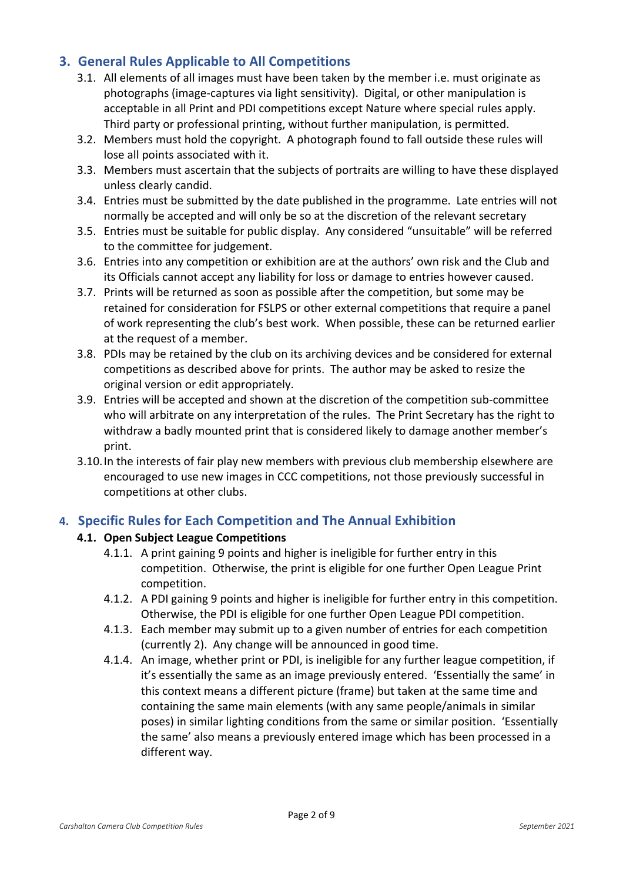# **3. General Rules Applicable to All Competitions**

- 3.1. All elements of all images must have been taken by the member i.e. must originate as photographs (image-captures via light sensitivity). Digital, or other manipulation is acceptable in all Print and PDI competitions except Nature where special rules apply. Third party or professional printing, without further manipulation, is permitted.
- 3.2. Members must hold the copyright. A photograph found to fall outside these rules will lose all points associated with it.
- 3.3. Members must ascertain that the subjects of portraits are willing to have these displayed unless clearly candid.
- 3.4. Entries must be submitted by the date published in the programme. Late entries will not normally be accepted and will only be so at the discretion of the relevant secretary
- 3.5. Entries must be suitable for public display. Any considered "unsuitable" will be referred to the committee for judgement.
- 3.6. Entries into any competition or exhibition are at the authors' own risk and the Club and its Officials cannot accept any liability for loss or damage to entries however caused.
- 3.7. Prints will be returned as soon as possible after the competition, but some may be retained for consideration for FSLPS or other external competitions that require a panel of work representing the club's best work. When possible, these can be returned earlier at the request of a member.
- 3.8. PDIs may be retained by the club on its archiving devices and be considered for external competitions as described above for prints. The author may be asked to resize the original version or edit appropriately.
- 3.9. Entries will be accepted and shown at the discretion of the competition sub-committee who will arbitrate on any interpretation of the rules. The Print Secretary has the right to withdraw a badly mounted print that is considered likely to damage another member's print.
- 3.10.In the interests of fair play new members with previous club membership elsewhere are encouraged to use new images in CCC competitions, not those previously successful in competitions at other clubs.

# **4. Specific Rules for Each Competition and The Annual Exhibition**

## **4.1. Open Subject League Competitions**

- 4.1.1. A print gaining 9 points and higher is ineligible for further entry in this competition. Otherwise, the print is eligible for one further Open League Print competition.
- 4.1.2. A PDI gaining 9 points and higher is ineligible for further entry in this competition. Otherwise, the PDI is eligible for one further Open League PDI competition.
- 4.1.3. Each member may submit up to a given number of entries for each competition (currently 2). Any change will be announced in good time.
- 4.1.4. An image, whether print or PDI, is ineligible for any further league competition, if it's essentially the same as an image previously entered. 'Essentially the same' in this context means a different picture (frame) but taken at the same time and containing the same main elements (with any same people/animals in similar poses) in similar lighting conditions from the same or similar position. 'Essentially the same' also means a previously entered image which has been processed in a different way.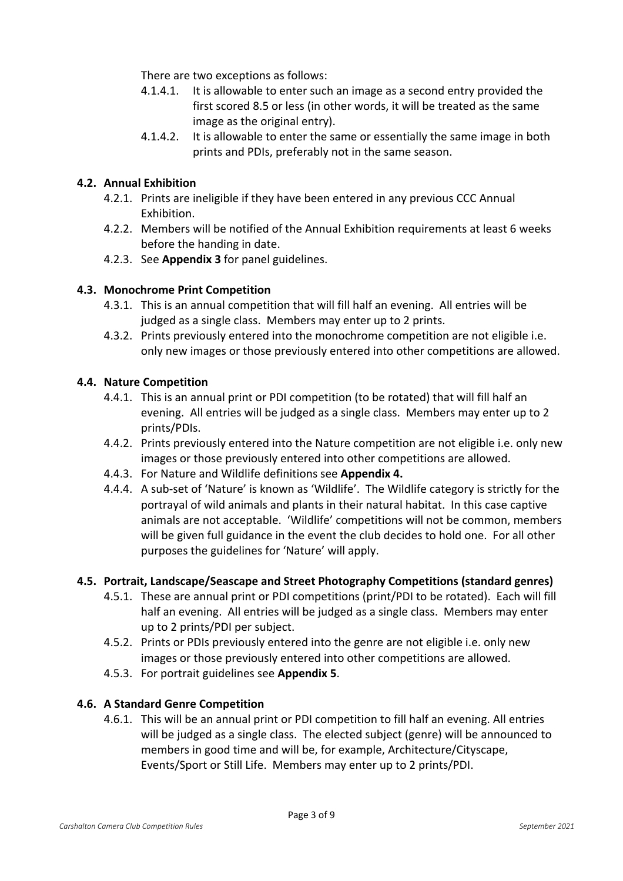There are two exceptions as follows:

- 4.1.4.1. It is allowable to enter such an image as a second entry provided the first scored 8.5 or less (in other words, it will be treated as the same image as the original entry).
- 4.1.4.2. It is allowable to enter the same or essentially the same image in both prints and PDIs, preferably not in the same season.

## **4.2. Annual Exhibition**

- 4.2.1. Prints are ineligible if they have been entered in any previous CCC Annual Exhibition.
- 4.2.2. Members will be notified of the Annual Exhibition requirements at least 6 weeks before the handing in date.
- 4.2.3. See **Appendix 3** for panel guidelines.

## **4.3. Monochrome Print Competition**

- 4.3.1. This is an annual competition that will fill half an evening. All entries will be judged as a single class. Members may enter up to 2 prints.
- 4.3.2. Prints previously entered into the monochrome competition are not eligible i.e. only new images or those previously entered into other competitions are allowed.

#### **4.4. Nature Competition**

- 4.4.1. This is an annual print or PDI competition (to be rotated) that will fill half an evening. All entries will be judged as a single class. Members may enter up to 2 prints/PDIs.
- 4.4.2. Prints previously entered into the Nature competition are not eligible i.e. only new images or those previously entered into other competitions are allowed.
- 4.4.3. For Nature and Wildlife definitions see **Appendix 4.**
- 4.4.4. A sub-set of 'Nature' is known as 'Wildlife'. The Wildlife category is strictly for the portrayal of wild animals and plants in their natural habitat. In this case captive animals are not acceptable. 'Wildlife' competitions will not be common, members will be given full guidance in the event the club decides to hold one. For all other purposes the guidelines for 'Nature' will apply.

#### **4.5. Portrait, Landscape/Seascape and Street Photography Competitions (standard genres)**

- 4.5.1. These are annual print or PDI competitions (print/PDI to be rotated). Each will fill half an evening. All entries will be judged as a single class. Members may enter up to 2 prints/PDI per subject.
- 4.5.2. Prints or PDIs previously entered into the genre are not eligible i.e. only new images or those previously entered into other competitions are allowed.
- 4.5.3. For portrait guidelines see **Appendix 5**.

#### **4.6. A Standard Genre Competition**

4.6.1. This will be an annual print or PDI competition to fill half an evening. All entries will be judged as a single class. The elected subject (genre) will be announced to members in good time and will be, for example, Architecture/Cityscape, Events/Sport or Still Life. Members may enter up to 2 prints/PDI.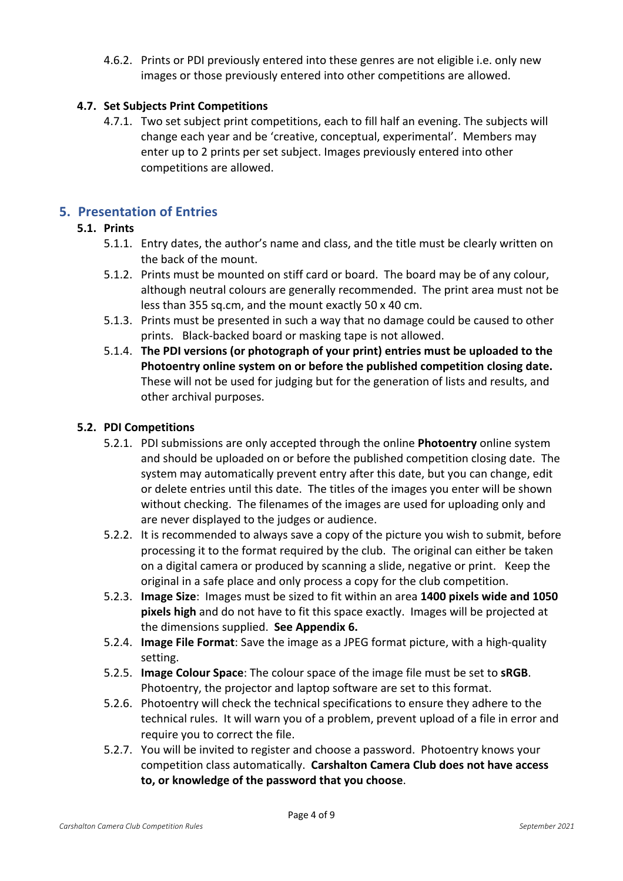4.6.2. Prints or PDI previously entered into these genres are not eligible i.e. only new images or those previously entered into other competitions are allowed.

## **4.7. Set Subjects Print Competitions**

4.7.1. Two set subject print competitions, each to fill half an evening. The subjects will change each year and be 'creative, conceptual, experimental'. Members may enter up to 2 prints per set subject. Images previously entered into other competitions are allowed.

## **5. Presentation of Entries**

## **5.1. Prints**

- 5.1.1. Entry dates, the author's name and class, and the title must be clearly written on the back of the mount.
- 5.1.2. Prints must be mounted on stiff card or board. The board may be of any colour, although neutral colours are generally recommended. The print area must not be less than 355 sq.cm, and the mount exactly 50 x 40 cm.
- 5.1.3. Prints must be presented in such a way that no damage could be caused to other prints. Black-backed board or masking tape is not allowed.
- 5.1.4. **The PDI versions (or photograph of your print) entries must be uploaded to the Photoentry online system on or before the published competition closing date.** These will not be used for judging but for the generation of lists and results, and other archival purposes.

#### **5.2. PDI Competitions**

- 5.2.1. PDI submissions are only accepted through the online **Photoentry** online system and should be uploaded on or before the published competition closing date. The system may automatically prevent entry after this date, but you can change, edit or delete entries until this date. The titles of the images you enter will be shown without checking. The filenames of the images are used for uploading only and are never displayed to the judges or audience.
- 5.2.2. It is recommended to always save a copy of the picture you wish to submit, before processing it to the format required by the club. The original can either be taken on a digital camera or produced by scanning a slide, negative or print. Keep the original in a safe place and only process a copy for the club competition.
- 5.2.3. **Image Size**: Images must be sized to fit within an area **1400 pixels wide and 1050 pixels high** and do not have to fit this space exactly. Images will be projected at the dimensions supplied. **See Appendix 6.**
- 5.2.4. **Image File Format**: Save the image as a JPEG format picture, with a high-quality setting.
- 5.2.5. **Image Colour Space**: The colour space of the image file must be set to **sRGB**. Photoentry, the projector and laptop software are set to this format.
- 5.2.6. Photoentry will check the technical specifications to ensure they adhere to the technical rules. It will warn you of a problem, prevent upload of a file in error and require you to correct the file.
- 5.2.7. You will be invited to register and choose a password. Photoentry knows your competition class automatically. **Carshalton Camera Club does not have access to, or knowledge of the password that you choose**.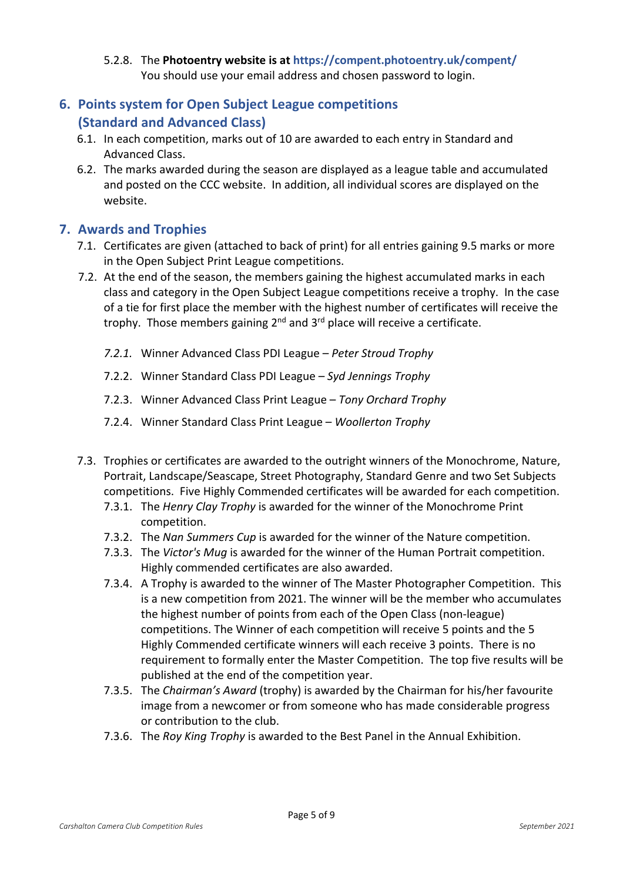## 5.2.8. The **Photoentry website is at https://compent.photoentry.uk/compent/** You should use your email address and chosen password to login.

# **6. Points system for Open Subject League competitions (Standard and Advanced Class)**

- 6.1. In each competition, marks out of 10 are awarded to each entry in Standard and Advanced Class.
- 6.2. The marks awarded during the season are displayed as a league table and accumulated and posted on the CCC website. In addition, all individual scores are displayed on the website.

# **7. Awards and Trophies**

- 7.1. Certificates are given (attached to back of print) for all entries gaining 9.5 marks or more in the Open Subject Print League competitions.
- 7.2. At the end of the season, the members gaining the highest accumulated marks in each class and category in the Open Subject League competitions receive a trophy. In the case of a tie for first place the member with the highest number of certificates will receive the trophy. Those members gaining  $2^{nd}$  and  $3^{rd}$  place will receive a certificate.
	- *7.2.1.* Winner Advanced Class PDI League *Peter Stroud Trophy*
	- 7.2.2. Winner Standard Class PDI League *Syd Jennings Trophy*
	- 7.2.3. Winner Advanced Class Print League *Tony Orchard Trophy*
	- 7.2.4. Winner Standard Class Print League *Woollerton Trophy*
- 7.3. Trophies or certificates are awarded to the outright winners of the Monochrome, Nature, Portrait, Landscape/Seascape, Street Photography, Standard Genre and two Set Subjects competitions. Five Highly Commended certificates will be awarded for each competition.
	- 7.3.1. The *Henry Clay Trophy* is awarded for the winner of the Monochrome Print competition.
	- 7.3.2. The *Nan Summers Cup* is awarded for the winner of the Nature competition.
	- 7.3.3. The *Victor's Mug* is awarded for the winner of the Human Portrait competition. Highly commended certificates are also awarded.
	- 7.3.4. A Trophy is awarded to the winner of The Master Photographer Competition. This is a new competition from 2021. The winner will be the member who accumulates the highest number of points from each of the Open Class (non-league) competitions. The Winner of each competition will receive 5 points and the 5 Highly Commended certificate winners will each receive 3 points. There is no requirement to formally enter the Master Competition. The top five results will be published at the end of the competition year.
	- 7.3.5. The *Chairman's Award* (trophy) is awarded by the Chairman for his/her favourite image from a newcomer or from someone who has made considerable progress or contribution to the club.
	- 7.3.6. The *Roy King Trophy* is awarded to the Best Panel in the Annual Exhibition.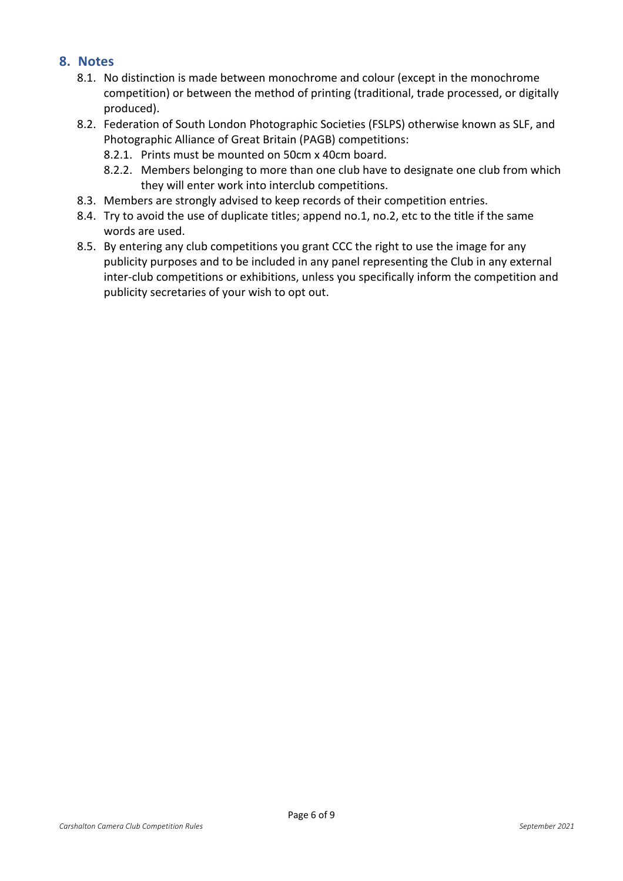## **8. Notes**

- 8.1. No distinction is made between monochrome and colour (except in the monochrome competition) or between the method of printing (traditional, trade processed, or digitally produced).
- 8.2. Federation of South London Photographic Societies (FSLPS) otherwise known as SLF, and Photographic Alliance of Great Britain (PAGB) competitions:
	- 8.2.1. Prints must be mounted on 50cm x 40cm board.
	- 8.2.2. Members belonging to more than one club have to designate one club from which they will enter work into interclub competitions.
- 8.3. Members are strongly advised to keep records of their competition entries.
- 8.4. Try to avoid the use of duplicate titles; append no.1, no.2, etc to the title if the same words are used.
- 8.5. By entering any club competitions you grant CCC the right to use the image for any publicity purposes and to be included in any panel representing the Club in any external inter-club competitions or exhibitions, unless you specifically inform the competition and publicity secretaries of your wish to opt out.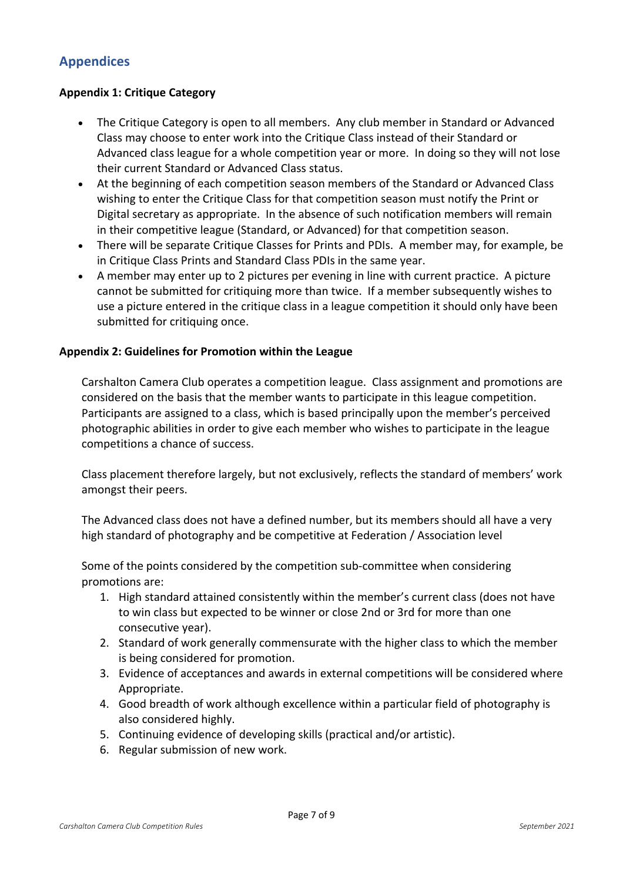# **Appendices**

#### **Appendix 1: Critique Category**

- The Critique Category is open to all members. Any club member in Standard or Advanced Class may choose to enter work into the Critique Class instead of their Standard or Advanced class league for a whole competition year or more. In doing so they will not lose their current Standard or Advanced Class status.
- At the beginning of each competition season members of the Standard or Advanced Class wishing to enter the Critique Class for that competition season must notify the Print or Digital secretary as appropriate. In the absence of such notification members will remain in their competitive league (Standard, or Advanced) for that competition season.
- There will be separate Critique Classes for Prints and PDIs. A member may, for example, be in Critique Class Prints and Standard Class PDIs in the same year.
- A member may enter up to 2 pictures per evening in line with current practice. A picture cannot be submitted for critiquing more than twice. If a member subsequently wishes to use a picture entered in the critique class in a league competition it should only have been submitted for critiquing once.

#### **Appendix 2: Guidelines for Promotion within the League**

Carshalton Camera Club operates a competition league. Class assignment and promotions are considered on the basis that the member wants to participate in this league competition. Participants are assigned to a class, which is based principally upon the member's perceived photographic abilities in order to give each member who wishes to participate in the league competitions a chance of success.

Class placement therefore largely, but not exclusively, reflects the standard of members' work amongst their peers.

The Advanced class does not have a defined number, but its members should all have a very high standard of photography and be competitive at Federation / Association level

Some of the points considered by the competition sub-committee when considering promotions are:

- 1. High standard attained consistently within the member's current class (does not have to win class but expected to be winner or close 2nd or 3rd for more than one consecutive year).
- 2. Standard of work generally commensurate with the higher class to which the member is being considered for promotion.
- 3. Evidence of acceptances and awards in external competitions will be considered where Appropriate.
- 4. Good breadth of work although excellence within a particular field of photography is also considered highly.
- 5. Continuing evidence of developing skills (practical and/or artistic).
- 6. Regular submission of new work.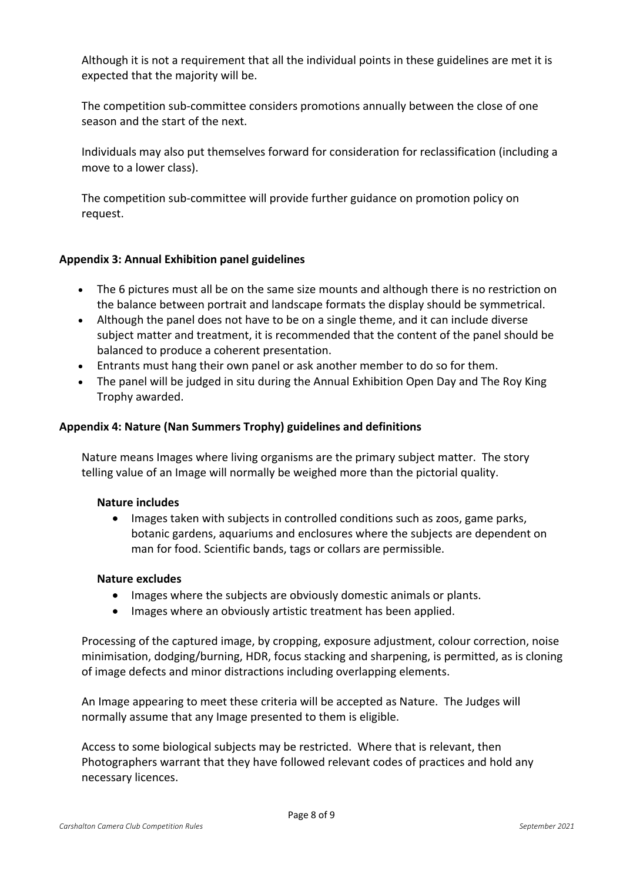Although it is not a requirement that all the individual points in these guidelines are met it is expected that the majority will be.

The competition sub-committee considers promotions annually between the close of one season and the start of the next.

Individuals may also put themselves forward for consideration for reclassification (including a move to a lower class).

The competition sub-committee will provide further guidance on promotion policy on request.

## **Appendix 3: Annual Exhibition panel guidelines**

- The 6 pictures must all be on the same size mounts and although there is no restriction on the balance between portrait and landscape formats the display should be symmetrical.
- Although the panel does not have to be on a single theme, and it can include diverse subject matter and treatment, it is recommended that the content of the panel should be balanced to produce a coherent presentation.
- Entrants must hang their own panel or ask another member to do so for them.
- The panel will be judged in situ during the Annual Exhibition Open Day and The Roy King Trophy awarded.

## **Appendix 4: Nature (Nan Summers Trophy) guidelines and definitions**

Nature means Images where living organisms are the primary subject matter. The story telling value of an Image will normally be weighed more than the pictorial quality.

#### **Nature includes**

• Images taken with subjects in controlled conditions such as zoos, game parks, botanic gardens, aquariums and enclosures where the subjects are dependent on man for food. Scientific bands, tags or collars are permissible.

#### **Nature excludes**

- Images where the subjects are obviously domestic animals or plants.
- Images where an obviously artistic treatment has been applied.

Processing of the captured image, by cropping, exposure adjustment, colour correction, noise minimisation, dodging/burning, HDR, focus stacking and sharpening, is permitted, as is cloning of image defects and minor distractions including overlapping elements.

An Image appearing to meet these criteria will be accepted as Nature. The Judges will normally assume that any Image presented to them is eligible.

Access to some biological subjects may be restricted. Where that is relevant, then Photographers warrant that they have followed relevant codes of practices and hold any necessary licences.